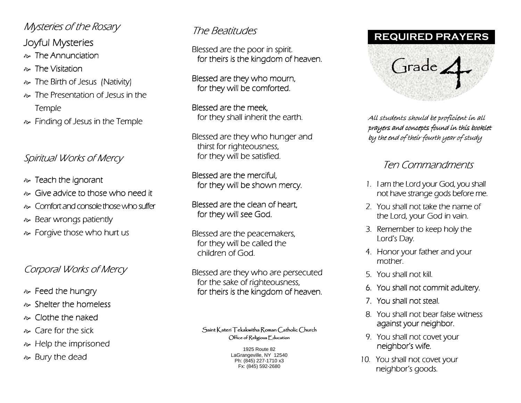# Mysteries of the Rosary

Joyful Mysteries

 $\approx$  The Annunciation

- The Visitation The Visitation
- $\textcolor{black}{\approx}$  The Birth of Jesus (Nativity)  $\textcolor{black}{\approx}$
- $\approx$  The Presentation of Jesus in the Temple
- $\textcolor{black}{\bullet}$  Finding of Jesus in the Temple

# Spiritual Works of Mercy

- $\approx$  Teach the ignorant
- $\approx$  Give advice to those who need it
- $\gg$  Comfort and console those who suffer
- $\approx$  Bear wrongs patiently
- $\approx$  Forgive those who hurt us

# Corporal Works of Mercy

- $\approx$  Feed the hungry
- $\approx$  Shelter the homeless
- $\approx$  Clothe the naked
- $\approx$  Care for the sick
- $\approx$  Help the imprisoned
- $\approx$  Bury the dead

# The Beatitudes

Blessed are the poor in spirit. for theirs is the kingdom of heaven.

Blessed are they who mourn, for they will be comforted.

Blessed are the meek. for they shall inherit the earth.

Blessed are they who hunger and thirst for righteousness, for they will be satisfied.

Blessed are the merciful. for they will be shown mercy.

Blessed are the clean of heart. for they will see God.

Blessed are the peacemakers, for they will be called the children of God.

Blessed are they who are persecuted for the sake of righteousness, for theirs is the kingdom of heaven.

#### $\mathcal S$ aint Kateri Tekakwitha Roman Catholic Church  $\bigcirc$ ffice of Religious  $\mathop{\mathsf{E}}$ ducation

1925 Route 82 LaGrangeville, NY 12540 Ph: (845) 227-1710 x3 Fx: (845) 592-2680

### **REQUIRED PRAYERS**



All students should be proficient in all prayers and concepts found in this booklet by the end of their fourth year of study

## Ten Commandments Ten Commandments

- 1. I am the Lord your God, you shall not have strange gods before me.
- 2. You shall not take the name of the Lord, your God in vain.
- 3. Remember to keep holy the  $h$ Lord's Day.
- 4. Honor your father and your mother.
- 5. You shall not kill.
- 6. You shall not commit adultery.
- 7. You shall not steal.
- 8. You shall not bear false witness against your neighbor.
- 9. You shall not covet your neighbor's wife.
- 10. You shall not covet your neighbor's goods.